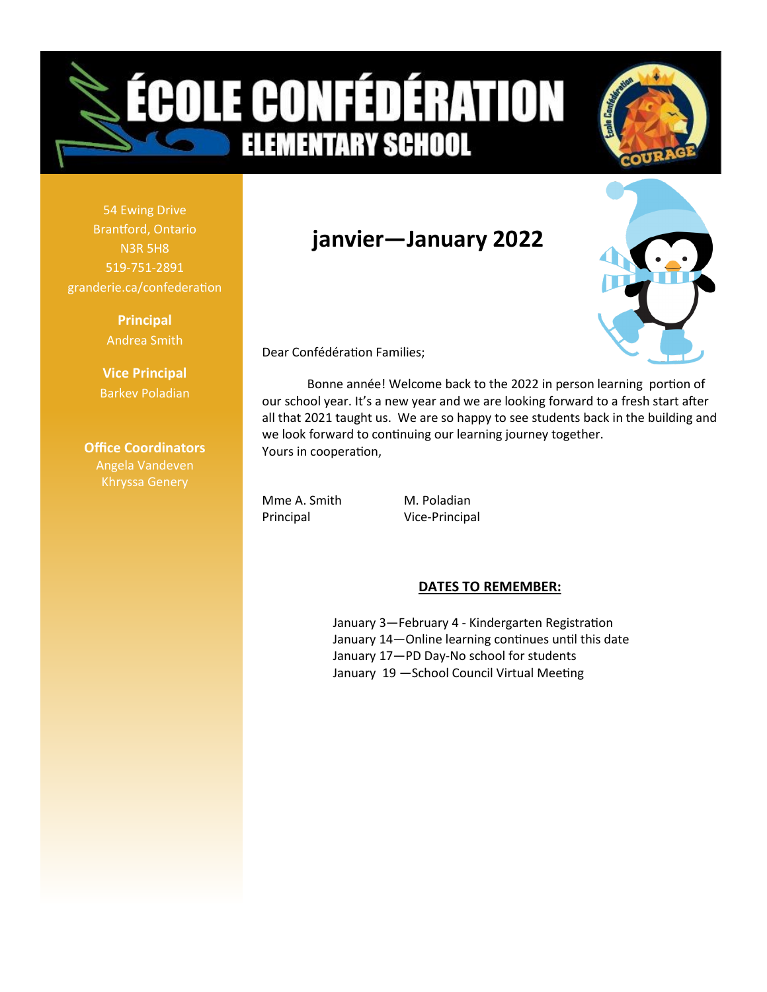# **OLE CONFÉDÉRATION ELEMENTARY SCHOOL**



54 Ewing Drive Brantford, Ontario N3R 5H8 519-751-2891 granderie.ca/confederation

> **Principal** Andrea Smith

**Vice Principal** Barkev Poladian

**Office Coordinators** Angela Vandeven

### **janvier—January 2022**



Dear Confédération Families;

Bonne année! Welcome back to the 2022 in person learning portion of our school year. It's a new year and we are looking forward to a fresh start after all that 2021 taught us. We are so happy to see students back in the building and we look forward to continuing our learning journey together. Yours in cooperation,

Mme A. Smith M. Poladian Principal Vice-Principal

#### **DATES TO REMEMBER:**

January 3—February 4 - Kindergarten Registration January 14—Online learning continues until this date January 17—PD Day-No school for students January 19 —School Council Virtual Meeting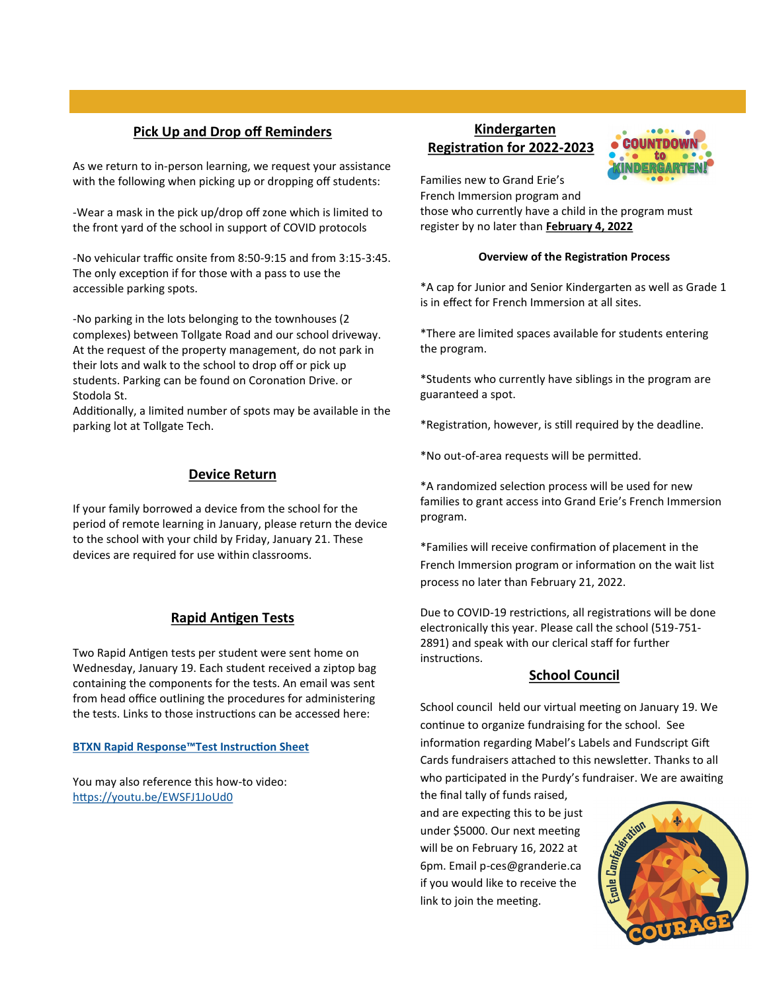#### **Pick Up and Drop off Reminders**

As we return to in-person learning, we request your assistance with the following when picking up or dropping off students:

-Wear a mask in the pick up/drop off zone which is limited to the front yard of the school in support of COVID protocols

-No vehicular traffic onsite from 8:50-9:15 and from 3:15-3:45. The only exception if for those with a pass to use the accessible parking spots.

-No parking in the lots belonging to the townhouses (2 complexes) between Tollgate Road and our school driveway. At the request of the property management, do not park in their lots and walk to the school to drop off or pick up students. Parking can be found on Coronation Drive. or Stodola St.

Additionally, a limited number of spots may be available in the parking lot at Tollgate Tech.

#### **Device Return**

If your family borrowed a device from the school for the period of remote learning in January, please return the device to the school with your child by Friday, January 21. These devices are required for use within classrooms.

#### **Rapid Antigen Tests**

Two Rapid Antigen tests per student were sent home on Wednesday, January 19. Each student received a ziptop bag containing the components for the tests. An email was sent from head office outlining the procedures for administering the tests. Links to those instructions can be accessed here:

**[BTXN Rapid Response](https://www.ontariohealth.ca/sites/ontariohealth/files/2022-01/BTNXSelfScreeningInstructions.pdf)™Test Instruction Sheet**

You may also reference this how-to video: <https://youtu.be/EWSFJ1JoUd0>

#### **Kindergarten Registration for 2022-2023**



Families new to Grand Erie's

French Immersion program and those who currently have a child in the program must register by no later than **February 4, 2022**

#### **Overview of the Registration Process**

\*A cap for Junior and Senior Kindergarten as well as Grade 1 is in effect for French Immersion at all sites.

\*There are limited spaces available for students entering the program.

\*Students who currently have siblings in the program are guaranteed a spot.

\*Registration, however, is still required by the deadline.

\*No out-of-area requests will be permitted.

\*A randomized selection process will be used for new families to grant access into Grand Erie's French Immersion program.

\*Families will receive confirmation of placement in the French Immersion program or information on the wait list process no later than February 21, 2022.

Due to COVID-19 restrictions, all registrations will be done electronically this year. Please call the school (519-751- 2891) and speak with our clerical staff for further instructions.

#### **School Council**

School council held our virtual meeting on January 19. We continue to organize fundraising for the school. See information regarding Mabel's Labels and Fundscript Gift Cards fundraisers attached to this newsletter. Thanks to all who participated in the Purdy's fundraiser. We are awaiting

the final tally of funds raised, and are expecting this to be just under \$5000. Our next meeting will be on February 16, 2022 at 6pm. Email p-ces@granderie.ca if you would like to receive the link to join the meeting.

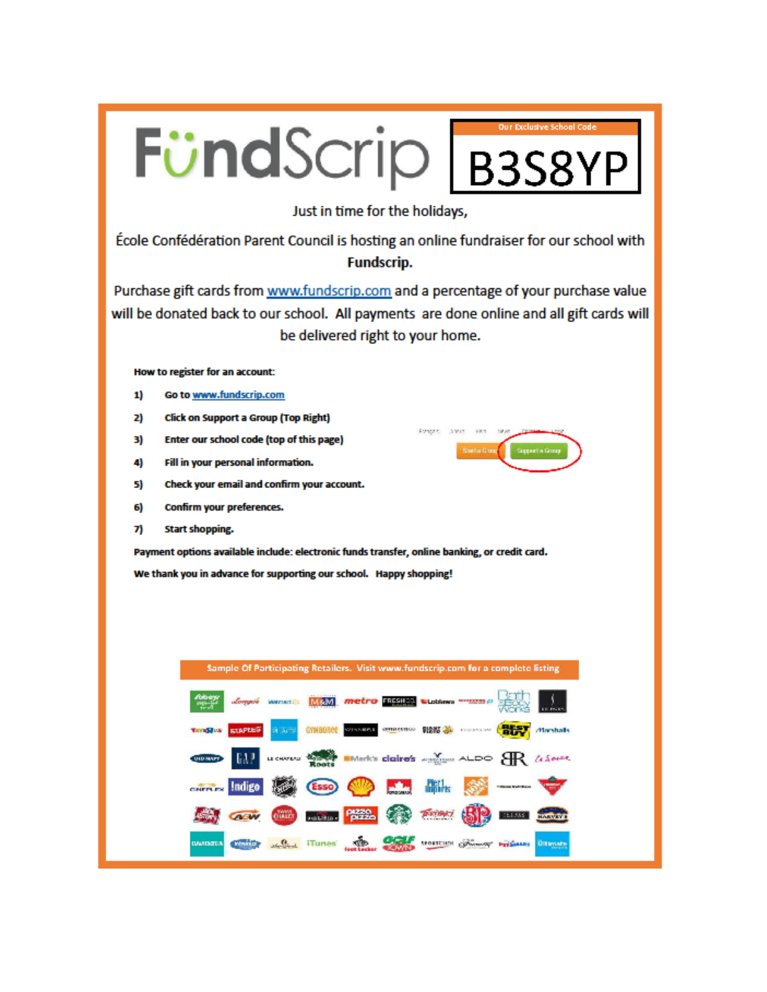

DARKING A.S.A. Hunes and Contract of Minor residence the Company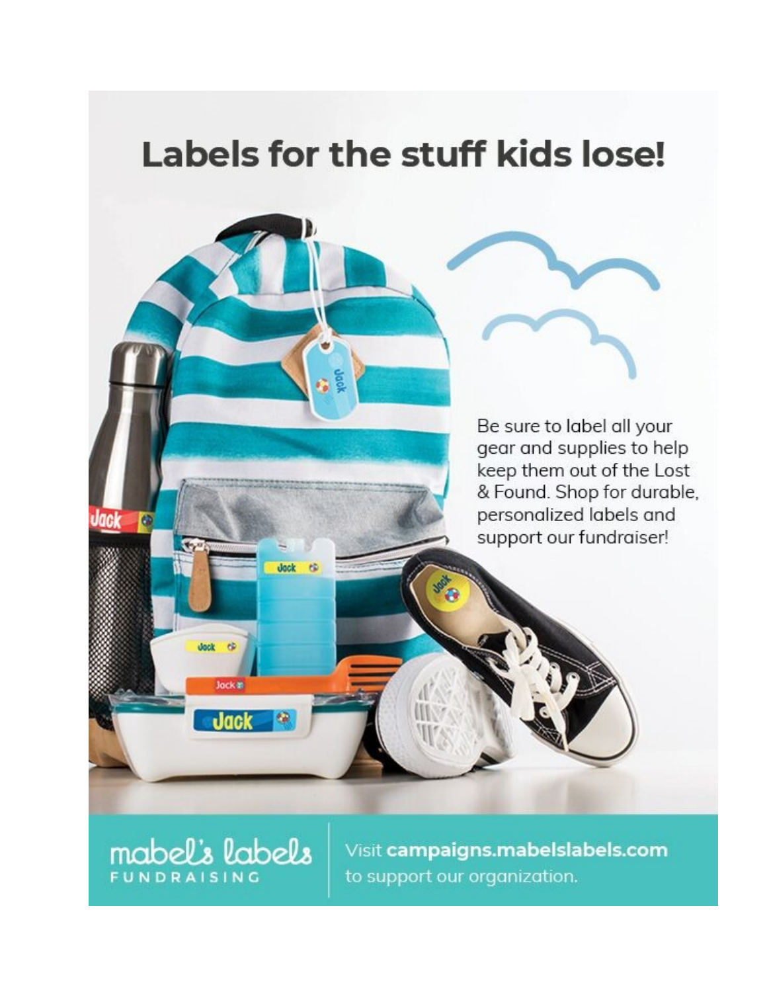## Labels for the stuff kids lose!

Be sure to label all your gear and supplies to help keep them out of the Lost & Found. Shop for durable, personalized labels and support our fundraiser!

**mabel's labels** 

dock  $\ddot{\alpha}$ 

Jock #

**Jack** 

Jack

Q

is.

Œ

Visit campaigns.mabelslabels.com to support our organization.